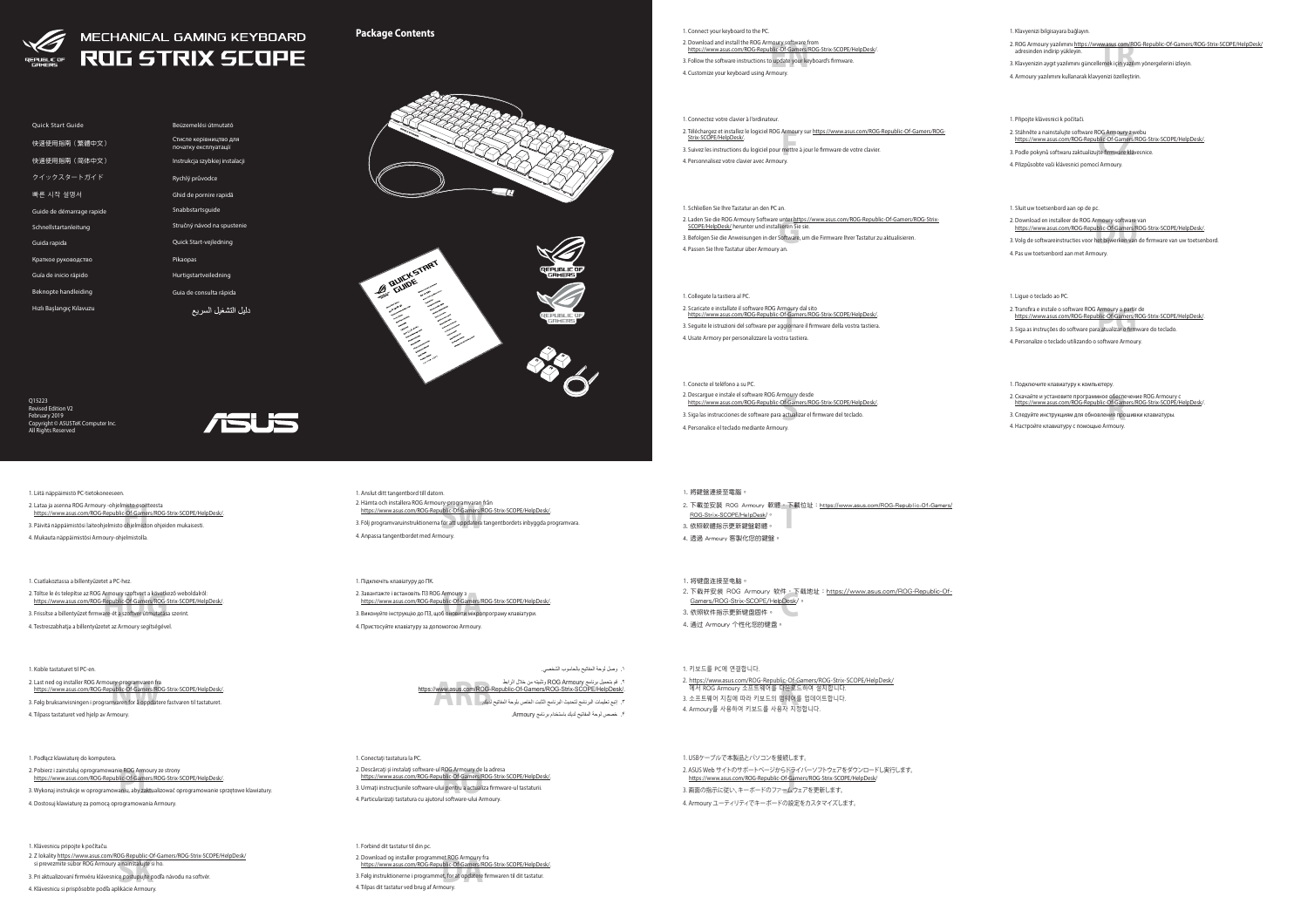







All Rights Reserved



**Package Contents**

- 1. Klavyenizi bilgisayara bağlayın.
- 2. ROG Armoury yazılımını <u>https://www.asus.com/ROG-Republic-Of-Gamer.</u><br>adresinden indirip yükleyin.<br>3. Klavyenizin aygıt yazılımını güncellemek için yazılım yönergelerini izleyin. 2. ROG Armoury yazılımını https://www.asus.com/ROG-Republic-Of-Gamers/ROG-Strix-SCOPE/HelpDesk/ adresinden indirip yükleyin.
- 
- 4. Armoury yazılımını kullanarak klavyenizi özelleştirin.
- 1. Připojte klávesnici k počítači.
- 2. Stáhněte a nainstalujte software ROG Armoury z webu<br>https://www.asus.com/ROG-Republic-Of-Gamers/ROG-Strix-SCOPE/HelpDesk/<br>3. Podle pokynů softwaru zaktualizujte firmw<mark>are kláv</mark>esnice.
- 3. Podle pokynů softwaru zaktualizujte firmware klávesnice.
- 4. Přizpůsobte vaši klávesnici pomocí Armoury.
- 1. Sluit uw toetsenbord aan op de pc.
- 2. Download en installeer de ROG Armoury-software van<br>https://www.asus.com/ROG-Republic-Of-Gamers/ROG-Strix-SCOPE/HelpDesk/<br>3. Volg de softwareinstructies voor het bijwerken van de firmware van uw toetser
- 3. Volg de softwareinstructies voor het bijwerken van de firmware van uw toetsenbord.
- 4. Pas uw toetsenbord aan met Armoury.
- 1. Ligue o teclado ao PC.
- Transfira e instale o software ROG Armoury a partir de<br><u>https://www.asus.com/ROG-Republic-Of-Gamers/ROG-Strix-SCOPE/HelpDesk/.</u><br>Siga as instruções do software para atualizar o firmware do teclado. 2. Transfira e instale o software ROG Armoury a partir de
- 3. Siga as instruções do software para atualizar o firmware do teclado.
- 4. Personalize o teclado utilizando o software Armoury.
- 1. Подключите клавиатуру к компьютеру.
- 2. Скачайте и установите программное обеспечение ROG Armoury с<br>https://www.asus.com/ROG-Republic-Of-Gamers/ROG-Strix-SCOPE/HelpDesk/<br>3. Следуйте инструкциям для обновления прошивки клавиатуры.<br>4. Настройте клавиатуру с по
- 3. Следуйте инструкциям для обновления прошивки клавиатуры.
- 4. Настройте клавиатуру с помощью Armoury.

- 2. Töltse le és telepítse az ROG Armoury szoftvert a következő web<br>1925: https://www.asus.com/ROG-Republic-Of-Gamers/ROG-Strix-SCO<br>3. Frissítse a billentyűzet firmware-ét a szof<mark>tver</mark> útmutatása szerint. 2. Töltse le és telepítse az ROG Armoury szoftvert a következő weboldalról: https://www.asus.com/ROG-Republic-Of-Gamers/ROG-Strix-SCOPE/HelpDesk/.
- 
- 4. Testreszabhatja a billentyűzetet az Armoury segítségével.

- 
- 2. Last ned og installer ROG Armoury-programvaren fra<br>https://www.asus.com/ROG-Republic-Of-Gamers/ROG-Strix-SCOPE/HelpDesk/.<br>3. Følg bruksanvisningen i programvaren for å oppdatere fastvaren til tastaturet. 3. Følg bruksanvisningen i programvaren for å oppdatere fastvaren til tastaturet.
- 4. Tilpass tastaturet ved hjelp av Armoury.
- 

- si prevezmite súbor ROG Armoury a nainštalujte si ho.<br>Si prevezmite súbor ROG Armoury a nainštalujte si ho.<br>Pri aktualizovaní firmvéru klávesnice postupujte podľa 2. Z lokality https://www.asus.com/ROG-Republic-Of-Gamers/ROG-Strix-SCOPE/HelpDesk/
- 3. Pri aktualizovaní firmvéru klávesnice postupujte podľa návodu na softvér.
- 4. Klávesnicu si prispôsobte podľa aplikácie Armoury.
- 2. Pobierz i zainstaluj oprogramowanie ROG Armoury ze strony<br>Phttps://www.asus.com/ROG-Republic-Of-Gamers/ROG-Strix-SCOPE/HelpDesk/.<br>3. Wykonaj instrukcje w oprogramowaniu, aby z<mark>akt</mark>ualizować oprogramowanie sp
- 3. Wykonaj instrukcje w oprogramowaniu, aby zaktualizować oprogramowanie sprzętowe klawiatury.
- 4. Dostosuj klawiaturę za pomocą oprogramowania Armoury.

#### 1. Liitä näppäimistö PC-tietokoneeseen.

- 
- 2. Hämta och installera ROG Armoury-programvaran från<br>https://www.asus.com/ROG-Republic-Of-Gamers/ROG-<br>3. Följ programvaruinstruktionerna för att uppdatera tang<br>4. Associal states videomet and t https://www.asus.com/ROG-Republic-Of-Gamers/ROG-Strix-SCOPE/HelpDesk/.
- 3. Följ programvaruinstruktionerna för att uppdatera tangentbordets inbyggda programvara.
- 4. Anpassa tangentbordet med Armoury.
- 2. Lataa ja asenna ROG Armoury -ohjelmisto osoitteesta
- Lataa ja asenna ROG Armoury -ohjelmisto osoitteesta<br><u>https://www.asus.com/ROG-Republic-Of-Gamers/ROG-Strix-SCOPE/HelpDesk/.</u><br>Päivitä näppäimistösi laiteohjelmisto ohjelmiston ohjeiden mukaisesti.
- 3. Päivitä näppäimistösi laiteohjelmisto ohjelmiston ohjeiden mukaisesti.
- 4. Mukauta näppäimistösi Armoury-ohjelmistolla.

- 2. Завантажте і встановіть ПЗ ROG Armoury з<br>https://www.asus.com/ROG-Republic-Of-Gamers/ROG-Strix-SCOPE/HelpDesk/.<br>3. Виконуйте інструкцію до ПЗ, щоб оновити мікропрограму клавіатури.
- 3. Виконуйте інструкцію до ПЗ, щоб оновити мікропрограму клавіатури.
- 4. Пристосуйте клавіатуру за допомогою Armoury.
- 

#### 1. Csatlakoztassa a billentyűzetet a PC-hez.

۲. قم بتحميل برنامج ROG Armoury وتثبيته من خلال الرابط<br>.https://www.asus.com/ROG-Republic-Of-Gamers/ROG-Strix-SCOPE/HelpDesk<br>۲. إنبع تعليمات البرنامج لتحديث البرنامج الثابت الخاص بلوحة المفاتيح لدي<mark>ك.</mark> .3 إتبع تعليمات البرنامج لتحديث البرنامج الثابت الخاص بلوحة المفاتيح لديك. .4 خصص لوحة المفاتيح لديك باستخدام برنامج Armoury.

#### 1. Conectați tastatura la PC.

#### 1. Koble tastaturet til PC-en.

- 2. 下載並安裝 ROG Armoury 軟體,下載位址:<u>https://www.asus.com/ROG-Republic-Of-Gamers/</u><br>| <u>ROG-Strix-SCOPE/HelpDesk</u>/。<br>3. 依照軟體指示更新鍵盤韌體。 ROG-Strix-SCOPE/HelpDesk/。
- 3. 依照軟體指示更新鍵盤韌體。
- 4. 透過 Armoury 客製化您的鍵盤。

- 2. Download og installer programmet ROG Armoury fra<br>https://www.asus.com/ROG-Republic-Of-Gamers/ROG<br>3. Følg instruktionerne i programmet, for at opdatere fir<br>4. Tilnas dit tastatur ved brug af Armoury https://www.asus.com/ROG-Republic-Of-Gamers/ROG-Strix-SCOPE/HelpDesk/.
- 3. Følg instruktionerne i programmet, for at opdatere firmwaren til dit tastatur.
- 4. Tilpas dit tastatur ved brug af Armoury.

#### 1. Klávesnicu pripojte k počítaču.

- <u>https://www.asus.com/r.oo-republic-ol-Gamers/r.oo-strix-<br>에서 ROG Armoury 소프트웨어를 다운로드하여 설치합니다.<br>소프트웨어 지침에 따라 키보드의 펌웨어를 업데이트합니다.<br>Armourv를 사용하여 키보드를 사용자 지정합니다.</u> 3. 소프트웨어 지침에 따라 키보드의 펌웨어를 업데이트합니다.
- 4. Armoury를 사용하여 키보드를 사용자 지정합니다.

#### 2. ASUS Web サイトのサボートページからドライバーソフトウェアを<br>- https://www.asus.com/ROG-Republic-Of-Gamers/ROG-Strix-SCOI<br>3. 画面の指示に従い、キーボードのファームウェアを更新します。<br>-1. USBケーブルで本製品とパソコンを接続します。 2. ASUS Web サイトのサポートページからドライバーソフトウェアをダウンロードし実行します。 https://www.asus.com/ROG-Republic-Of-Gamers/ROG-Strix-SCOPE/HelpDesk/ 4. Armoury ユーティリティでキーボードの設定をカスタマイズします。

- 
- 

- 
- 
- 
- 

#### 1. Podłącz klawiaturę do komputera.

#### 1. Anslut ditt tangentbord till datorn.

Armou<br>mettre<br>Irv 2. Téléchargez et installez le logiciel ROG Armoury sur https://www.asus.com/ROG-Republic-Of-Gamers/ROG-Strix-SCOPE/HelpDesk/. 3. Suivez les instructions du logiciel pour mettre à jour le firmware de votre clavier. 4. Personnalisez votre clavier avec Armoury.

2. Laden Sie die ROG Armoury Software unter <u>https://www.asus.com/ROG-Republic-Of-Gamers/ROG-Strix-SCOPE/HelpDesk/ herunter und installieren Sie sie.<br>SCOPE/HelpDesk/ herunter und installieren Sie sie.<br>3. Befolgen Sie die A</u> 3. Befolgen Sie die Anweisungen in der Software, um die Firmware Ihrer Tastatur zu aktualisieren. 4. Passen Sie Ihre Tastatur über Armoury an.

#### 1. Підключіть клавіатуру до ПК.

# 2. Download and install the ROG Armoury software from<br>https://www.asus.com/ROG-Republic-Of-Gamers/ROG-Strix-SCOPE/HelpDesk/<br>3. Follow the software instructions to update your keyboard's firmware.<br>4. Customize your keyboard 1. Connect your keyboard to the PC. 3. Follow the software instructions to update your keyboard's firmware.

## .1 وصل لوحة المفاتيح بالحاسوب الشخصي.

- 2. Descărcaţi şi instalaţi software-ul ROG Armoury de la adresa https://www.asus.com/ROG-Republic-Of-Gamers/ROG-Strix-SCOPE/HelpDesk/.
- ROG Armoury de<br><u>Iblic-Of-Gamers/F</u><br>Il pentru a actuali<br>Il software-ului Al 3. Urmaţi instrucţiunile software-ului pentru a actualiza firmware-ul tastaturii. 4. Particularizaţi tastatura cu ajutorul software-ului Armoury.

#### 1. 將鍵盤連接至電腦。

#### 1. Forbind dit tastatur til din pc.

#### 1. 將鍵盤連接至電腦。

- 2. 下载并安装 ROG Armoury 软件,下载地址: https://www.asus.com/ROG-Republic-Of-
- ト戦<del>サ女表 ROG Armoury 秋庄、</del>ト戦<br><u>Gamers/ROG-Strix-SCOPE/HelpDesk</u>/。<br>依照软件指示更新键盘固件。 3. 依照軟件指示更新鍵盤固件。
- 4. 通过 Armoury 个性化您的键盘。

#### 1. 키보드를 PC에 연결합니다.

2. https://www.asus.com/ROG-Republic-Of-Gamers/ROG-Strix-SCOPE/HelpDesk/

Hızlı Başlangıç Kılavuzu







Rychlý průvodce Ghid de pornire rapidă Snabbstartsguide Quick Start-vejledning

دليل التشغيل السريع

#### 1. Connectez votre clavier à l'ordinateur.

#### 1. Schließen Sie Ihre Tastatur an den PC an.

# 4. Customize your keyboard using Armoury.

#### 1. Collegate la tastiera al PC.

- 
- **I** 2. Scaricate e installate il software ROG Armoury dal sito https://www.asus.com/ROG-Republic-Of-Gamers/ROG-Strix-SCOPE/HelpDesk/. 3. Seguite le istruzioni del software per aggiornare il firmware della vostra tastiera.
- 4. Usate Armory per personalizzare la vostra tastiera.

#### 1. Conecte el teléfono a su PC.

- 2. Descargue e instale el software ROG Armoury desde
- https://www.asus.com/ROG-Republic-Of-Gamers/ROG-Strix-SCOPE/HelpDesk/.
- moury<br><u>Of-Gam</u><br>actuali 3. Siga las instrucciones de software para actualizar el firmware del teclado.
- 4. Personalice el teclado mediante Armoury.